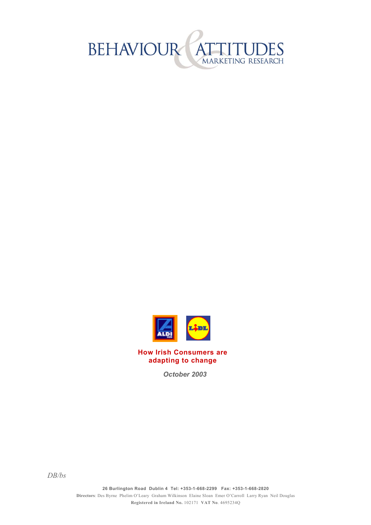



#### **How Irish Consumers are adapting to change**

*October 2003* 

**26 Burlington Road Dublin 4 Tel: +353-1-668-2299 Fax: +353-1-668-2820 Directors**: Des Byrne Phelim O'Leary Graham Wilkinson Elaine Sloan Emer O'Carroll Larry Ryan Neil Douglas **Registered in Ireland No.** 102171 **VAT No**. 4695234Q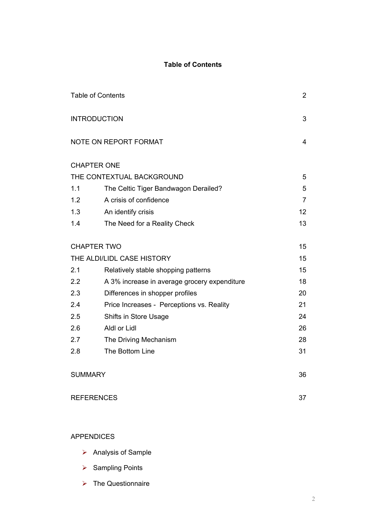## **Table of Contents**

<span id="page-1-0"></span>

| <b>Table of Contents</b>   |                                              | $\overline{2}$ |
|----------------------------|----------------------------------------------|----------------|
|                            | <b>INTRODUCTION</b>                          | 3              |
|                            | <b>NOTE ON REPORT FORMAT</b>                 | $\overline{4}$ |
|                            | <b>CHAPTER ONE</b>                           |                |
|                            | THE CONTEXTUAL BACKGROUND                    | 5              |
| 1.1                        | The Celtic Tiger Bandwagon Derailed?         | 5              |
| 1.2                        | A crisis of confidence                       | $\overline{7}$ |
| 1.3                        | An identify crisis                           | 12             |
| 1.4                        | The Need for a Reality Check                 | 13             |
| <b>CHAPTER TWO</b>         | 15                                           |                |
| THE ALDI/LIDL CASE HISTORY |                                              | 15             |
| 2.1                        | Relatively stable shopping patterns          | 15             |
| 2.2                        | A 3% increase in average grocery expenditure | 18             |
| 2.3                        | Differences in shopper profiles              | 20             |
| 2.4                        | Price Increases - Perceptions vs. Reality    | 21             |
| 2.5                        | Shifts in Store Usage                        | 24             |
| 2.6                        | AldI or Lidl                                 | 26             |
| 2.7                        | The Driving Mechanism                        | 28             |
| 2.8                        | The Bottom Line                              | 31             |
| <b>SUMMARY</b>             |                                              | 36             |
|                            | <b>REFERENCES</b>                            | 37             |

#### APPENDICES

- $\triangleright$  Analysis of Sample
- [¾](#page-14-0) Sampling Points
- [¾](#page-14-0) The Questionnaire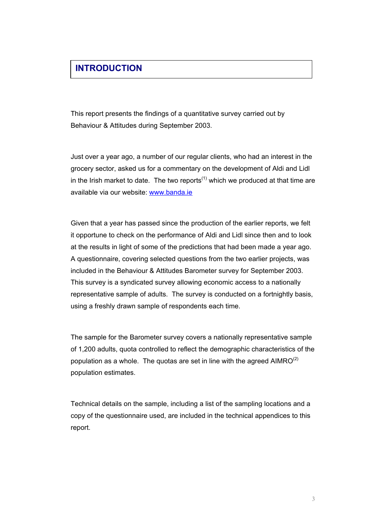# **INTRODUCTION**

This report presents the findings of a quantitative survey carried out by Behaviour & Attitudes during September 2003.

Just over a year ago, a number of our regular clients, who had an interest in the grocery sector, asked us for a commentary on the development of Aldi and Lidl in the Irish market to date. The two reports<sup> $(1)$ </sup> which we produced at that time are available via our website: [www.banda.ie](http://www.banda.ie/)

Given that a year has passed since the production of the earlier reports, we felt it opportune to check on the performance of Aldi and Lidl since then and to look at the results in light of some of the predictions that had been made a year ago. A questionnaire, covering selected questions from the two earlier projects, was included in the Behaviour & Attitudes Barometer survey for September 2003. This survey is a syndicated survey allowing economic access to a nationally representative sample of adults. The survey is conducted on a fortnightly basis, using a freshly drawn sample of respondents each time.

The sample for the Barometer survey covers a nationally representative sample of 1,200 adults, quota controlled to reflect the demographic characteristics of the population as a whole. The quotas are set in line with the agreed  $AIMRO<sup>(2)</sup>$ population estimates.

Technical details on the sample, including a list of the sampling locations and a copy of the questionnaire used, are included in the technical appendices to this report.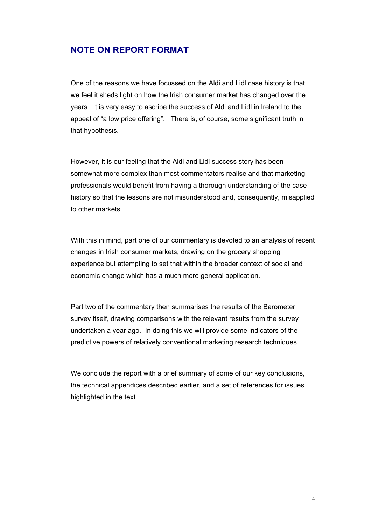## <span id="page-3-0"></span>**NOTE ON REPORT FORMAT**

One of the reasons we have focussed on the Aldi and Lidl case history is that we feel it sheds light on how the Irish consumer market has changed over the years. It is very easy to ascribe the success of Aldi and Lidl in Ireland to the appeal of "a low price offering". There is, of course, some significant truth in that hypothesis.

However, it is our feeling that the Aldi and Lidl success story has been somewhat more complex than most commentators realise and that marketing professionals would benefit from having a thorough understanding of the case history so that the lessons are not misunderstood and, consequently, misapplied to other markets.

With this in mind, part one of our commentary is devoted to an analysis of recent changes in Irish consumer markets, drawing on the grocery shopping experience but attempting to set that within the broader context of social and economic change which has a much more general application.

Part two of the commentary then summarises the results of the Barometer survey itself, drawing comparisons with the relevant results from the survey undertaken a year ago. In doing this we will provide some indicators of the predictive powers of relatively conventional marketing research techniques.

We conclude the report with a brief summary of some of our key conclusions, the technical appendices described earlier, and a set of references for issues highlighted in the text.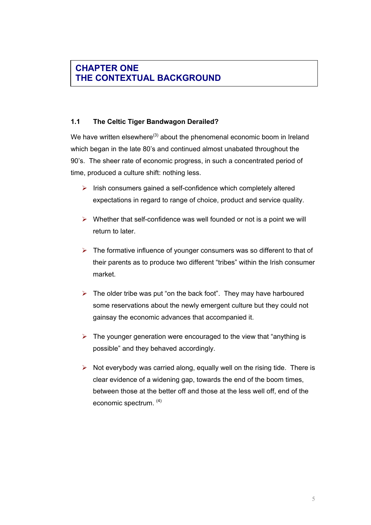## <span id="page-4-0"></span>**1.1 The Celtic Tiger Bandwagon Derailed?**

We have written elsewhere<sup>(3)</sup> about the phenomenal economic boom in Ireland which began in the late 80's and continued almost unabated throughout the 90's. The sheer rate of economic progress, in such a concentrated period of time, produced a culture shift: nothing less.

- [¾](#page-14-0) Irish consumers gained a self-confidence which completely altered expectations in regard to range of choice, product and service quality.
- $\triangleright$  Whether that self-confidence was well founded or not is a point we will return to later.
- [¾](#page-14-0) The formative influence of younger consumers was so different to that of their parents as to produce two different "tribes" within the Irish consumer market.
- $\triangleright$  The older tribe was put "on the back foot". They may have harboured some reservations about the newly emergent culture but they could not gainsay the economic advances that accompanied it.
- $\triangleright$  The younger generation were encouraged to the view that "anything is possible" and they behaved accordingly.
- $\triangleright$  Not everybody was carried along, equally well on the rising tide. There is clear evidence of a widening gap, towards the end of the boom times, between those at the better off and those at the less well off, end of the economic spectrum. (4)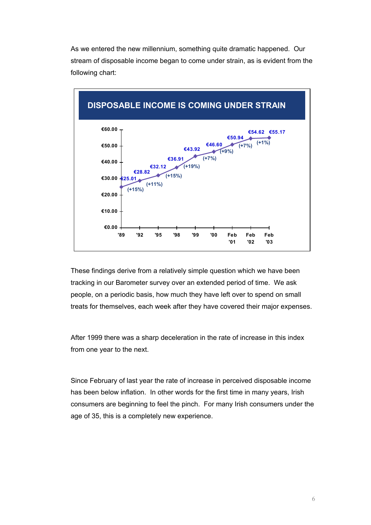As we entered the new millennium, something quite dramatic happened. Our stream of disposable income began to come under strain, as is evident from the following chart:



These findings derive from a relatively simple question which we have been tracking in our Barometer survey over an extended period of time. We ask people, on a periodic basis, how much they have left over to spend on small treats for themselves, each week after they have covered their major expenses.

After 1999 there was a sharp deceleration in the rate of increase in this index from one year to the next.

Since February of last year the rate of increase in perceived disposable income has been below inflation. In other words for the first time in many years, Irish consumers are beginning to feel the pinch. For many Irish consumers under the age of 35, this is a completely new experience.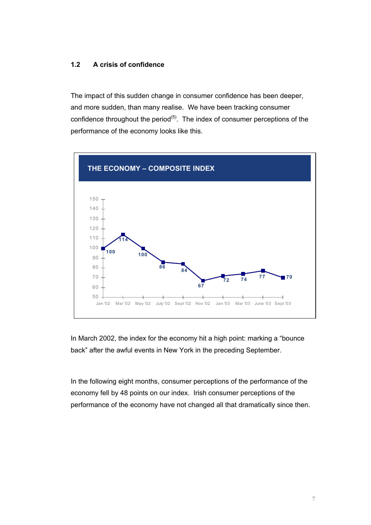## <span id="page-6-0"></span>**1.2 A crisis of confidence**

The impact of this sudden change in consumer confidence has been deeper, and more sudden, than many realise. We have been tracking consumer confidence throughout the period $(5)$ . The index of consumer perceptions of the performance of the economy looks like this.



In March 2002, the index for the economy hit a high point: marking a "bounce back" after the awful events in New York in the preceding September.

In the following eight months, consumer perceptions of the performance of the economy fell by 48 points on our index. Irish consumer perceptions of the performance of the economy have not changed all that dramatically since then.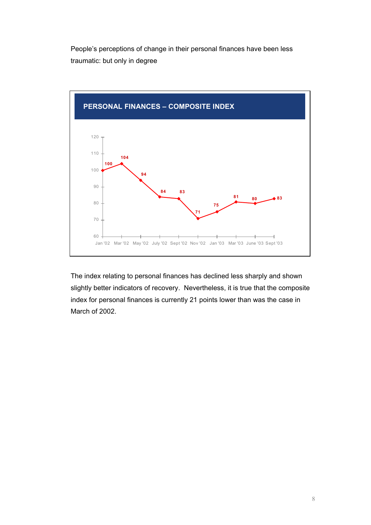People's perceptions of change in their personal finances have been less traumatic: but only in degree



The index relating to personal finances has declined less sharply and shown slightly better indicators of recovery. Nevertheless, it is true that the composite index for personal finances is currently 21 points lower than was the case in March of 2002.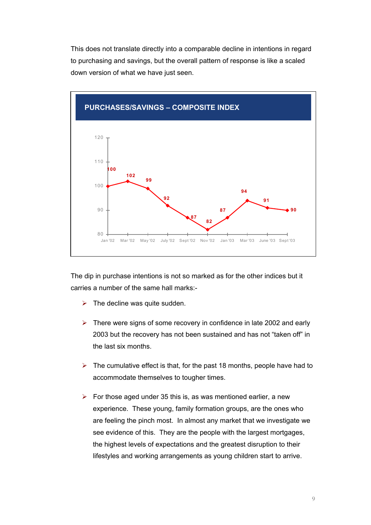This does not translate directly into a comparable decline in intentions in regard to purchasing and savings, but the overall pattern of response is like a scaled down version of what we have just seen.



The dip in purchase intentions is not so marked as for the other indices but it carries a number of the same hall marks:-

- $\triangleright$  The decline was quite sudden.
- [¾](#page-14-0) There were signs of some recovery in confidence in late 2002 and early 2003 but the recovery has not been sustained and has not "taken off" in the last six months.
- $\triangleright$  The cumulative effect is that, for the past 18 months, people have had to accommodate themselves to tougher times.
- $\triangleright$  For those aged under 35 this is, as was mentioned earlier, a new experience. These young, family formation groups, are the ones who are feeling the pinch most. In almost any market that we investigate we see evidence of this. They are the people with the largest mortgages, the highest levels of expectations and the greatest disruption to their lifestyles and working arrangements as young children start to arrive.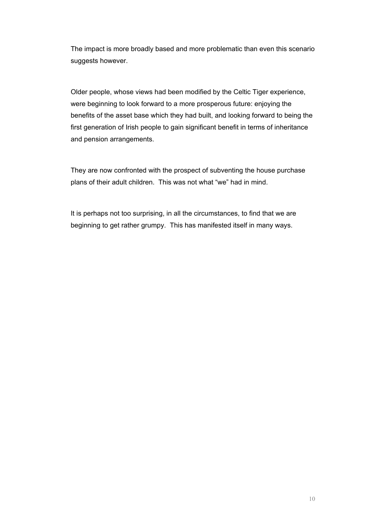The impact is more broadly based and more problematic than even this scenario suggests however.

Older people, whose views had been modified by the Celtic Tiger experience, were beginning to look forward to a more prosperous future: enjoying the benefits of the asset base which they had built, and looking forward to being the first generation of Irish people to gain significant benefit in terms of inheritance and pension arrangements.

They are now confronted with the prospect of subventing the house purchase plans of their adult children. This was not what "we" had in mind.

It is perhaps not too surprising, in all the circumstances, to find that we are beginning to get rather grumpy. This has manifested itself in many ways.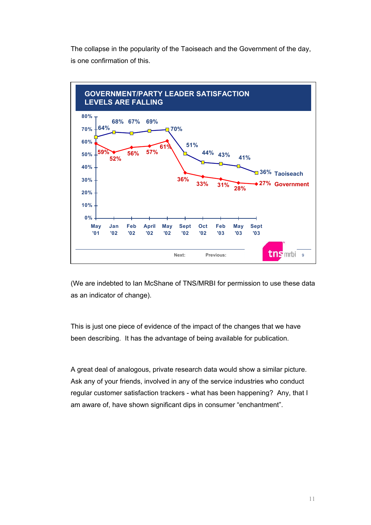The collapse in the popularity of the Taoiseach and the Government of the day, is one confirmation of this.



(We are indebted to Ian McShane of TNS/MRBI for permission to use these data as an indicator of change).

This is just one piece of evidence of the impact of the changes that we have been describing. It has the advantage of being available for publication.

A great deal of analogous, private research data would show a similar picture. Ask any of your friends, involved in any of the service industries who conduct regular customer satisfaction trackers - what has been happening? Any, that I am aware of, have shown significant dips in consumer "enchantment".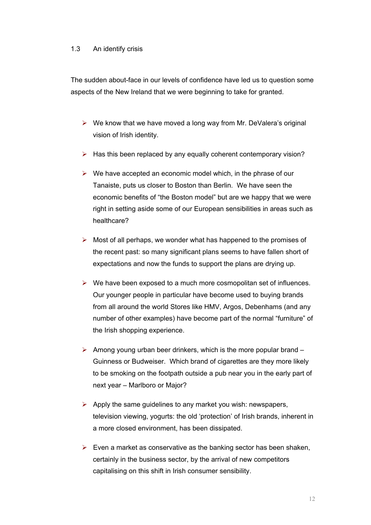#### <span id="page-11-0"></span>1.3 An identify crisis

The sudden about-face in our levels of confidence have led us to question some aspects of the New Ireland that we were beginning to take for granted.

- [¾](#page-14-0) We know that we have moved a long way from Mr. DeValera's original vision of Irish identity.
- $\triangleright$  Has this been replaced by any equally coherent contemporary vision?
- $\triangleright$  We have accepted an economic model which, in the phrase of our Tanaiste, puts us closer to Boston than Berlin. We have seen the economic benefits of "the Boston model" but are we happy that we were right in setting aside some of our European sensibilities in areas such as healthcare?
- $\triangleright$  Most of all perhaps, we wonder what has happened to the promises of the recent past: so many significant plans seems to have fallen short of expectations and now the funds to support the plans are drying up.
- $\triangleright$  We have been exposed to a much more cosmopolitan set of influences. Our younger people in particular have become used to buying brands from all around the world Stores like HMV, Argos, Debenhams (and any number of other examples) have become part of the normal "furniture" of the Irish shopping experience.
- $\triangleright$  Among young urban beer drinkers, which is the more popular brand  $-$ Guinness or Budweiser. Which brand of cigarettes are they more likely to be smoking on the footpath outside a pub near you in the early part of next year – Marlboro or Major?
- $\triangleright$  Apply the same guidelines to any market you wish: newspapers, television viewing, yogurts: the old 'protection' of Irish brands, inherent in a more closed environment, has been dissipated.
- $\triangleright$  Even a market as conservative as the banking sector has been shaken, certainly in the business sector, by the arrival of new competitors capitalising on this shift in Irish consumer sensibility.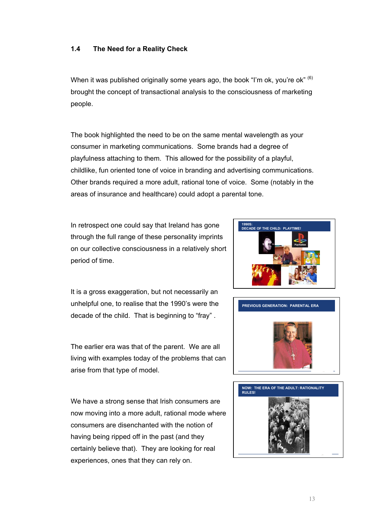## <span id="page-12-0"></span>**1.4 The Need for a Reality Check**

When it was published originally some years ago, the book "I'm ok, you're ok"  $^{(6)}$ brought the concept of transactional analysis to the consciousness of marketing people.

The book highlighted the need to be on the same mental wavelength as your consumer in marketing communications. Some brands had a degree of playfulness attaching to them. This allowed for the possibility of a playful, childlike, fun oriented tone of voice in branding and advertising communications. Other brands required a more adult, rational tone of voice. Some (notably in the areas of insurance and healthcare) could adopt a parental tone.

In retrospect one could say that Ireland has gone through the full range of these personality imprints on our collective consciousness in a relatively short period of time.

It is a gross exaggeration, but not necessarily an unhelpful one, to realise that the 1990's were the decade of the child. That is beginning to "fray" .

The earlier era was that of the parent. We are all living with examples today of the problems that can arise from that type of model.

We have a strong sense that Irish consumers are now moving into a more adult, rational mode where consumers are disenchanted with the notion of having being ripped off in the past (and they certainly believe that). They are looking for real experiences, ones that they can rely on.





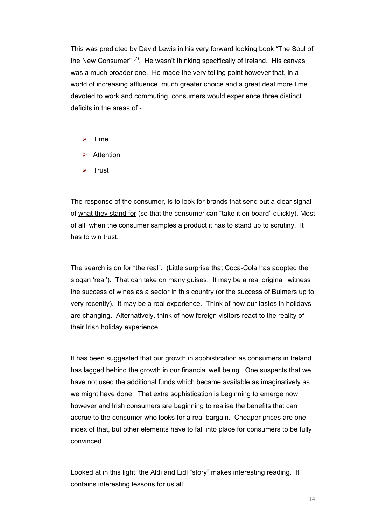This was predicted by David Lewis in his very forward looking book "The Soul of the New Consumer"  $(7)$ . He wasn't thinking specifically of Ireland. His canvas was a much broader one. He made the very telling point however that, in a world of increasing affluence, much greater choice and a great deal more time devoted to work and commuting, consumers would experience three distinct deficits in the areas of:-

- [¾](#page-14-0) Time
- [¾](#page-14-0) Attention
- [¾](#page-14-0) Trust

The response of the consumer, is to look for brands that send out a clear signal of what they stand for (so that the consumer can "take it on board" quickly). Most of all, when the consumer samples a product it has to stand up to scrutiny. It has to win trust.

The search is on for "the real". (Little surprise that Coca-Cola has adopted the slogan 'real'). That can take on many guises. It may be a real original: witness the success of wines as a sector in this country (or the success of Bulmers up to very recently). It may be a real experience. Think of how our tastes in holidays are changing. Alternatively, think of how foreign visitors react to the reality of their Irish holiday experience.

It has been suggested that our growth in sophistication as consumers in Ireland has lagged behind the growth in our financial well being. One suspects that we have not used the additional funds which became available as imaginatively as we might have done. That extra sophistication is beginning to emerge now however and Irish consumers are beginning to realise the benefits that can accrue to the consumer who looks for a real bargain. Cheaper prices are one index of that, but other elements have to fall into place for consumers to be fully convinced.

Looked at in this light, the Aldi and Lidl "story" makes interesting reading. It contains interesting lessons for us all.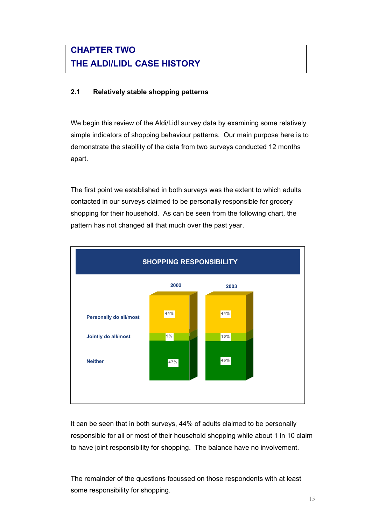# <span id="page-14-0"></span>**CHAPTER TWO THE ALDI/LIDL CASE HISTORY**

## **2.1 Relatively stable shopping patterns**

We begin this review of the Aldi/Lidl survey data by examining some relatively simple indicators of shopping behaviour patterns. Our main purpose here is to demonstrate the stability of the data from two surveys conducted 12 months apart.

The first point we established in both surveys was the extent to which adults contacted in our surveys claimed to be personally responsible for grocery shopping for their household. As can be seen from the following chart, the pattern has not changed all that much over the past year.



It can be seen that in both surveys, 44% of adults claimed to be personally responsible for all or most of their household shopping while about 1 in 10 claim to have joint responsibility for shopping. The balance have no involvement.

The remainder of the questions focussed on those respondents with at least some responsibility for shopping.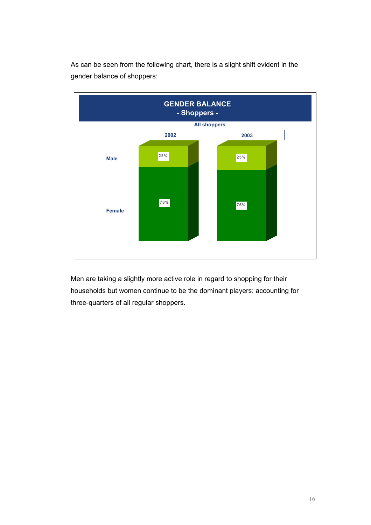

As can be seen from the following chart, there is a slight shift evident in the gender balance of shoppers:

Men are taking a slightly more active role in regard to shopping for their households but women continue to be the dominant players: accounting for three-quarters of all regular shoppers.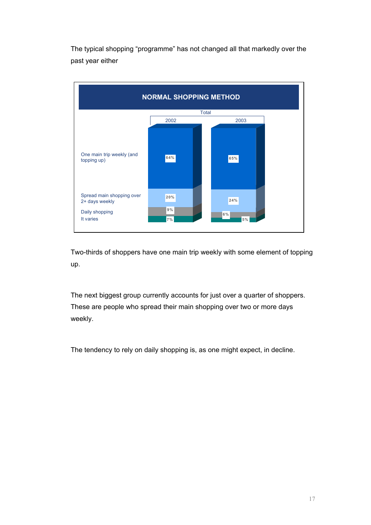The typical shopping "programme" has not changed all that markedly over the past year either



Two-thirds of shoppers have one main trip weekly with some element of topping up.

The next biggest group currently accounts for just over a quarter of shoppers. These are people who spread their main shopping over two or more days weekly.

The tendency to rely on daily shopping is, as one might expect, in decline.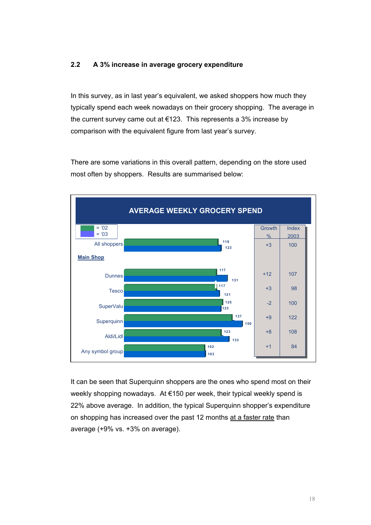## <span id="page-17-0"></span>**2.2 A 3% increase in average grocery expenditure**

In this survey, as in last year's equivalent, we asked shoppers how much they typically spend each week nowadays on their grocery shopping. The average in the current survey came out at  $€123$ . This represents a 3% increase by comparison with the equivalent figure from last year's survey.

There are some variations in this overall pattern, depending on the store used most often by shoppers. Results are summarised below:



It can be seen that Superquinn shoppers are the ones who spend most on their weekly shopping nowadays. At €150 per week, their typical weekly spend is 22% above average. In addition, the typical Superquinn shopper's expenditure on shopping has increased over the past 12 months at a faster rate than average (+9% vs. +3% on average).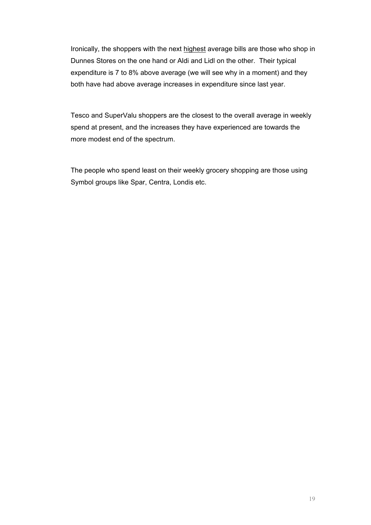Ironically, the shoppers with the next highest average bills are those who shop in Dunnes Stores on the one hand or Aldi and Lidl on the other. Their typical expenditure is 7 to 8% above average (we will see why in a moment) and they both have had above average increases in expenditure since last year.

Tesco and SuperValu shoppers are the closest to the overall average in weekly spend at present, and the increases they have experienced are towards the more modest end of the spectrum.

The people who spend least on their weekly grocery shopping are those using Symbol groups like Spar, Centra, Londis etc.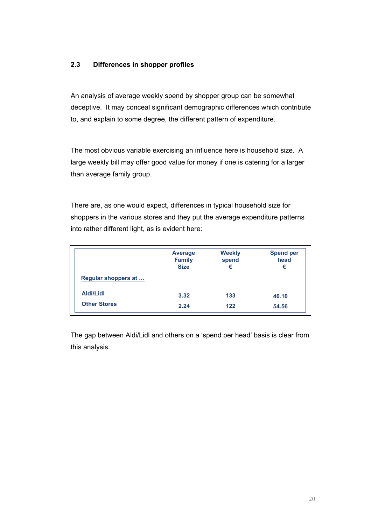## <span id="page-19-0"></span>**2.3 Differences in shopper profiles**

An analysis of average weekly spend by shopper group can be somewhat deceptive. It may conceal significant demographic differences which contribute to, and explain to some degree, the different pattern of expenditure.

The most obvious variable exercising an influence here is household size. A large weekly bill may offer good value for money if one is catering for a larger than average family group.

There are, as one would expect, differences in typical household size for shoppers in the various stores and they put the average expenditure patterns into rather different light, as is evident here:

|                     | <b>Average</b><br><b>Family</b><br><b>Size</b> | <b>Weekly</b><br>spend<br>€ | <b>Spend per</b><br>head<br>€ |
|---------------------|------------------------------------------------|-----------------------------|-------------------------------|
| Regular shoppers at |                                                |                             |                               |
| <b>Aldi/Lidl</b>    | 3.32                                           | 133                         | 40.10                         |
| <b>Other Stores</b> | 2.24                                           | 122                         | 54.56                         |

The gap between Aldi/Lidl and others on a 'spend per head' basis is clear from this analysis.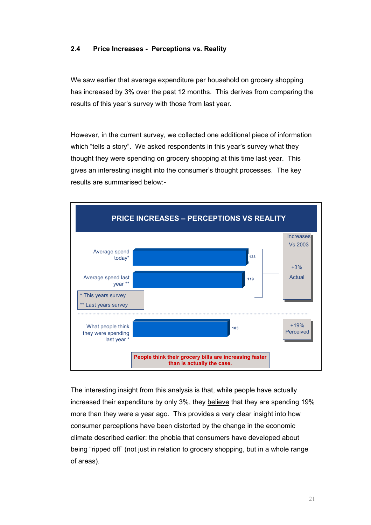#### <span id="page-20-0"></span>**2.4 Price Increases - Perceptions vs. Reality**

We saw earlier that average expenditure per household on grocery shopping has increased by 3% over the past 12 months. This derives from comparing the results of this year's survey with those from last year.

However, in the current survey, we collected one additional piece of information which "tells a story". We asked respondents in this year's survey what they thought they were spending on grocery shopping at this time last year. This gives an interesting insight into the consumer's thought processes. The key results are summarised below:-



The interesting insight from this analysis is that, while people have actually increased their expenditure by only 3%, they believe that they are spending 19% more than they were a year ago. This provides a very clear insight into how consumer perceptions have been distorted by the change in the economic climate described earlier: the phobia that consumers have developed about being "ripped off" (not just in relation to grocery shopping, but in a whole range of areas).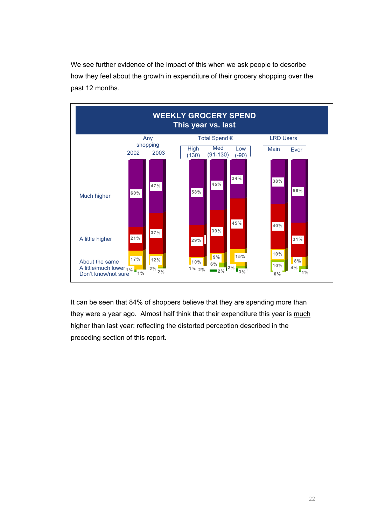We see further evidence of the impact of this when we ask people to describe how they feel about the growth in expenditure of their grocery shopping over the past 12 months.



It can be seen that 84% of shoppers believe that they are spending more than they were a year ago. Almost half think that their expenditure this year is much higher than last year: reflecting the distorted perception described in the preceding section of this report.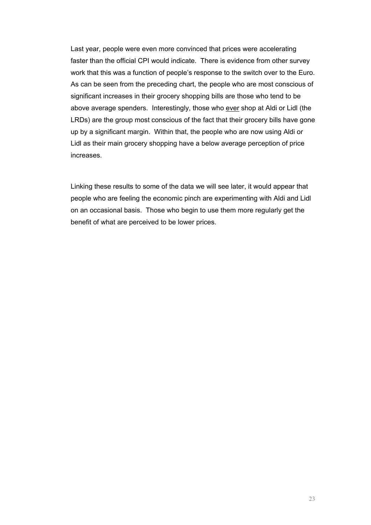Last year, people were even more convinced that prices were accelerating faster than the official CPI would indicate. There is evidence from other survey work that this was a function of people's response to the switch over to the Euro. As can be seen from the preceding chart, the people who are most conscious of significant increases in their grocery shopping bills are those who tend to be above average spenders. Interestingly, those who ever shop at Aldi or Lidl (the LRDs) are the group most conscious of the fact that their grocery bills have gone up by a significant margin. Within that, the people who are now using Aldi or Lidl as their main grocery shopping have a below average perception of price increases.

Linking these results to some of the data we will see later, it would appear that people who are feeling the economic pinch are experimenting with Aldi and Lidl on an occasional basis. Those who begin to use them more regularly get the benefit of what are perceived to be lower prices.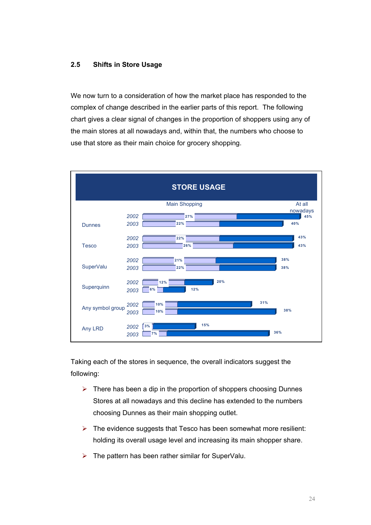## <span id="page-23-0"></span>**2.5 Shifts in Store Usage**

We now turn to a consideration of how the market place has responded to the complex of change described in the earlier parts of this report. The following chart gives a clear signal of changes in the proportion of shoppers using any of the main stores at all nowadays and, within that, the numbers who choose to use that store as their main choice for grocery shopping.



Taking each of the stores in sequence, the overall indicators suggest the following:

- $\triangleright$  There has been a dip in the proportion of shoppers choosing Dunnes Stores at all nowadays and this decline has extended to the numbers choosing Dunnes as their main shopping outlet.
- $\triangleright$  The evidence suggests that Tesco has been somewhat more resilient: holding its overall usage level and increasing its main shopper share.
- $\triangleright$  The pattern has been rather similar for SuperValu.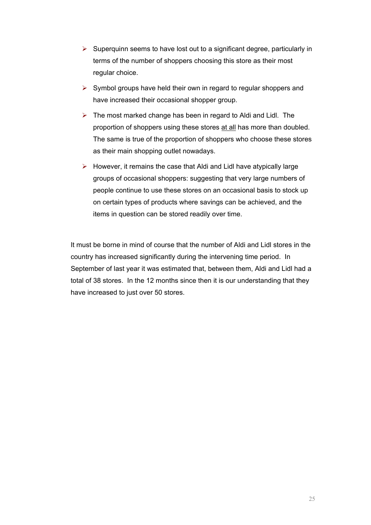- [¾](#page-14-0) Superquinn seems to have lost out to a significant degree, particularly in terms of the number of shoppers choosing this store as their most regular choice.
- [¾](#page-14-0) Symbol groups have held their own in regard to regular shoppers and have increased their occasional shopper group.
- $\triangleright$  The most marked change has been in regard to Aldi and Lidl. The proportion of shoppers using these stores at all has more than doubled. The same is true of the proportion of shoppers who choose these stores as their main shopping outlet nowadays.
- $\triangleright$  However, it remains the case that Aldi and Lidl have atypically large groups of occasional shoppers: suggesting that very large numbers of people continue to use these stores on an occasional basis to stock up on certain types of products where savings can be achieved, and the items in question can be stored readily over time.

It must be borne in mind of course that the number of Aldi and Lidl stores in the country has increased significantly during the intervening time period. In September of last year it was estimated that, between them, Aldi and Lidl had a total of 38 stores. In the 12 months since then it is our understanding that they have increased to just over 50 stores.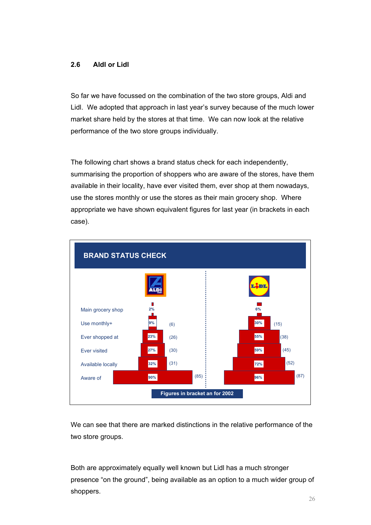## <span id="page-25-0"></span>**2.6 Aldl or Lidl**

So far we have focussed on the combination of the two store groups, Aldi and Lidl. We adopted that approach in last year's survey because of the much lower market share held by the stores at that time. We can now look at the relative performance of the two store groups individually.

The following chart shows a brand status check for each independently, summarising the proportion of shoppers who are aware of the stores, have them available in their locality, have ever visited them, ever shop at them nowadays, use the stores monthly or use the stores as their main grocery shop. Where appropriate we have shown equivalent figures for last year (in brackets in each case).



We can see that there are marked distinctions in the relative performance of the two store groups.

Both are approximately equally well known but Lidl has a much stronger presence "on the ground", being available as an option to a much wider group of shoppers.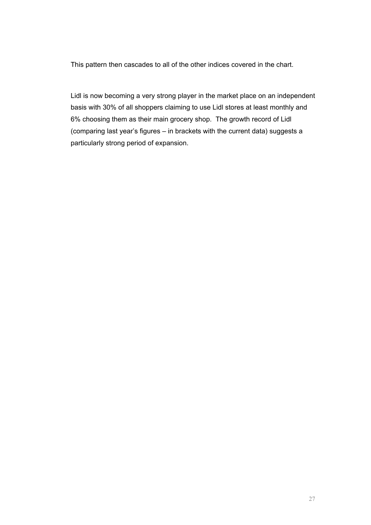This pattern then cascades to all of the other indices covered in the chart.

Lidl is now becoming a very strong player in the market place on an independent basis with 30% of all shoppers claiming to use Lidl stores at least monthly and 6% choosing them as their main grocery shop. The growth record of Lidl (comparing last year's figures – in brackets with the current data) suggests a particularly strong period of expansion.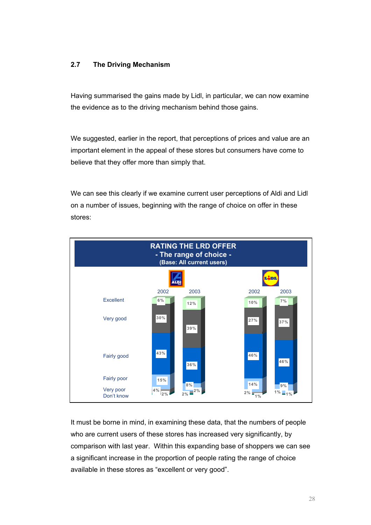## <span id="page-27-0"></span>**2.7 The Driving Mechanism**

Having summarised the gains made by Lidl, in particular, we can now examine the evidence as to the driving mechanism behind those gains.

We suggested, earlier in the report, that perceptions of prices and value are an important element in the appeal of these stores but consumers have come to believe that they offer more than simply that.

We can see this clearly if we examine current user perceptions of Aldi and Lidl on a number of issues, beginning with the range of choice on offer in these stores:



It must be borne in mind, in examining these data, that the numbers of people who are current users of these stores has increased very significantly, by comparison with last year. Within this expanding base of shoppers we can see a significant increase in the proportion of people rating the range of choice available in these stores as "excellent or very good".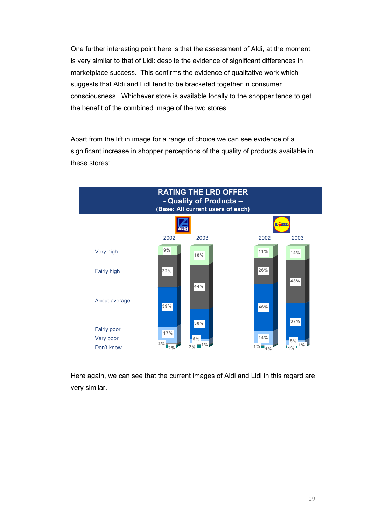One further interesting point here is that the assessment of Aldi, at the moment, is very similar to that of Lidl: despite the evidence of significant differences in marketplace success. This confirms the evidence of qualitative work which suggests that Aldi and Lidl tend to be bracketed together in consumer consciousness. Whichever store is available locally to the shopper tends to get the benefit of the combined image of the two stores.

Apart from the lift in image for a range of choice we can see evidence of a significant increase in shopper perceptions of the quality of products available in these stores:



Here again, we can see that the current images of Aldi and Lidl in this regard are very similar.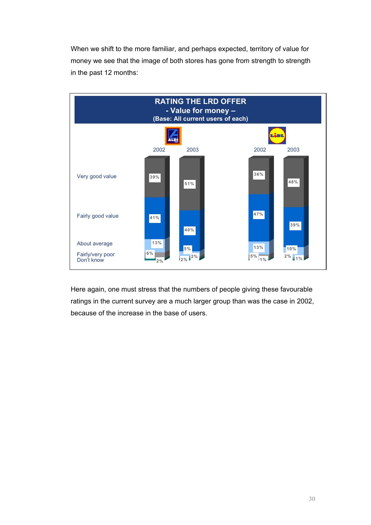When we shift to the more familiar, and perhaps expected, territory of value for money we see that the image of both stores has gone from strength to strength in the past 12 months:



Here again, one must stress that the numbers of people giving these favourable ratings in the current survey are a much larger group than was the case in 2002, because of the increase in the base of users.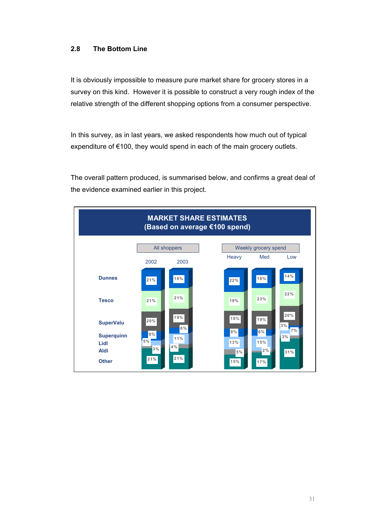## <span id="page-30-0"></span>**2.8 The Bottom Line**

It is obviously impossible to measure pure market share for grocery stores in a survey on this kind. However it is possible to construct a very rough index of the relative strength of the different shopping options from a consumer perspective.

In this survey, as in last years, we asked respondents how much out of typical expenditure of €100, they would spend in each of the main grocery outlets.

The overall pattern produced, is summarised below, and confirms a great deal of the evidence examined earlier in this project.

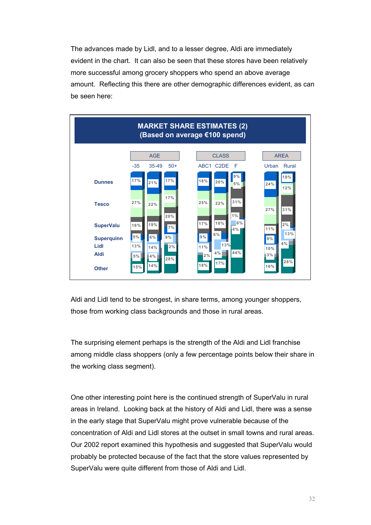The advances made by Lidl, and to a lesser degree, Aldi are immediately evident in the chart. It can also be seen that these stores have been relatively more successful among grocery shoppers who spend an above average amount. Reflecting this there are other demographic differences evident, as can be seen here:



Aldi and Lidl tend to be strongest, in share terms, among younger shoppers, those from working class backgrounds and those in rural areas.

The surprising element perhaps is the strength of the Aldi and Lidl franchise among middle class shoppers (only a few percentage points below their share in the working class segment).

One other interesting point here is the continued strength of SuperValu in rural areas in Ireland. Looking back at the history of Aldi and Lidl, there was a sense in the early stage that SuperValu might prove vulnerable because of the concentration of Aldi and Lidl stores at the outset in small towns and rural areas. Our 2002 report examined this hypothesis and suggested that SuperValu would probably be protected because of the fact that the store values represented by SuperValu were quite different from those of Aldi and Lidl.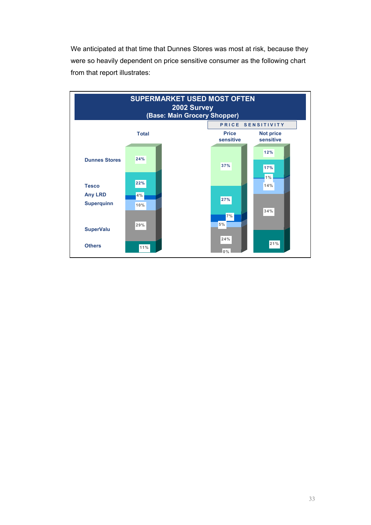We anticipated at that time that Dunnes Stores was most at risk, because they were so heavily dependent on price sensitive consumer as the following chart from that report illustrates:

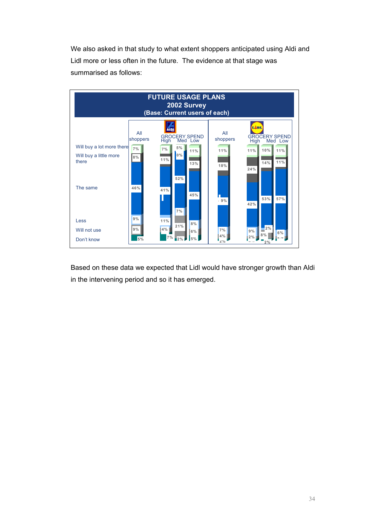We also asked in that study to what extent shoppers anticipated using Aldi and Lidl more or less often in the future. The evidence at that stage was summarised as follows:



Based on these data we expected that Lidl would have stronger growth than Aldi in the intervening period and so it has emerged.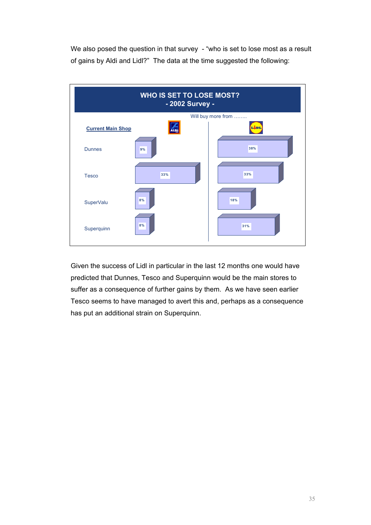We also posed the question in that survey - "who is set to lose most as a result of gains by Aldi and Lidl?" The data at the time suggested the following:



Given the success of Lidl in particular in the last 12 months one would have predicted that Dunnes, Tesco and Superquinn would be the main stores to suffer as a consequence of further gains by them. As we have seen earlier Tesco seems to have managed to avert this and, perhaps as a consequence has put an additional strain on Superquinn.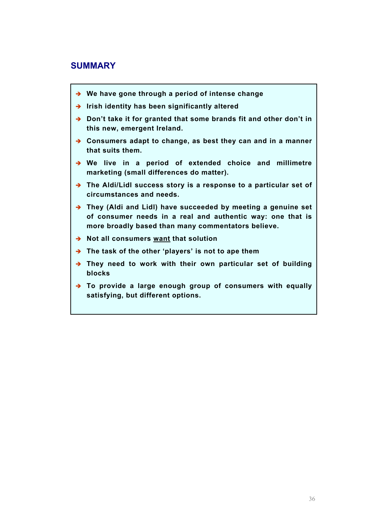## <span id="page-35-0"></span>**SUMMARY**

- $\rightarrow$  We have gone through a period of intense change
- $\rightarrow$  Irish identity has been significantly altered
- $\rightarrow$  Don't take it for granted that some brands fit and other don't in **this new, emergent Ireland.**
- $\rightarrow$  Consumers adapt to change, as best they can and in a manner **that suits them.**
- $\rightarrow$  We live in a period of extended choice and millimetre **marketing (small differences do matter).**
- $\rightarrow$  The Aldi/Lidl success story is a response to a particular set of **circumstances and needs.**
- $\rightarrow$  They (Aldi and Lidl) have succeeded by meeting a genuine set **of consumer needs in a real and authentic way: one that is more broadly based than many commentators believe.**
- **→** Not all consumers **want** that solution
- $\rightarrow$  The task of the other 'players' is not to ape them
- $\rightarrow$  They need to work with their own particular set of building **blocks**
- $\rightarrow$  To provide a large enough group of consumers with equally **satisfying, but different options.**